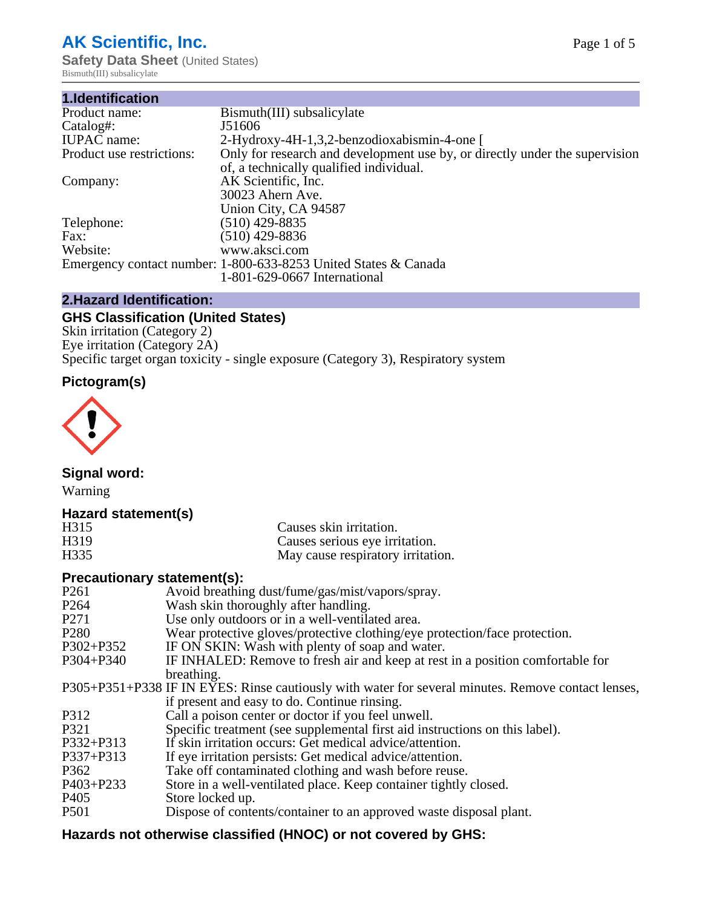# **AK Scientific, Inc.**

**Safety Data Sheet (United States)** Bismuth(III) subsalicylate

| 1.Identification          |                                                                             |
|---------------------------|-----------------------------------------------------------------------------|
| Product name:             | Bismuth(III) subsalicylate                                                  |
| Catalog#:                 | J51606                                                                      |
| <b>IUPAC</b> name:        | 2-Hydroxy-4H-1,3,2-benzodioxabismin-4-one [                                 |
| Product use restrictions: | Only for research and development use by, or directly under the supervision |
|                           | of, a technically qualified individual.                                     |
| Company:                  | AK Scientific, Inc.                                                         |
|                           | 30023 Ahern Ave.                                                            |
|                           | Union City, CA 94587                                                        |
| Telephone:                | $(510)$ 429-8835                                                            |
| Fax:                      | $(510)$ 429-8836                                                            |
| Website:                  | www.aksci.com                                                               |
|                           | Emergency contact number: 1-800-633-8253 United States & Canada             |
|                           | 1-801-629-0667 International                                                |

## **2.Hazard Identification:**

# **GHS Classification (United States)**

Skin irritation (Category 2) Eye irritation (Category 2A) Specific target organ toxicity - single exposure (Category 3), Respiratory system

# **Pictogram(s)**



**Signal word:**

Warning

### **Hazard statement(s)**

| H315              | Causes skin irritation.           |
|-------------------|-----------------------------------|
| H <sub>3</sub> 19 | Causes serious eye irritation.    |
| H335              | May cause respiratory irritation. |

### **Precautionary statement(s):**

| P <sub>261</sub> | Avoid breathing dust/fume/gas/mist/vapors/spray.                                                   |
|------------------|----------------------------------------------------------------------------------------------------|
| P <sub>264</sub> | Wash skin thoroughly after handling.                                                               |
| P <sub>271</sub> | Use only outdoors or in a well-ventilated area.                                                    |
| P <sub>280</sub> | Wear protective gloves/protective clothing/eye protection/face protection.                         |
| P302+P352        | IF ON SKIN: Wash with plenty of soap and water.                                                    |
| $P304 + P340$    | IF INHALED: Remove to fresh air and keep at rest in a position comfortable for                     |
|                  | breathing.                                                                                         |
|                  | P305+P351+P338 IF IN EYES: Rinse cautiously with water for several minutes. Remove contact lenses, |
|                  | if present and easy to do. Continue rinsing.                                                       |
| P312             | Call a poison center or doctor if you feel unwell.                                                 |
| P321             | Specific treatment (see supplemental first aid instructions on this label).                        |
| P332+P313        | If skin irritation occurs: Get medical advice/attention.                                           |
| P337+P313        | If eye irritation persists: Get medical advice/attention.                                          |
| P362             | Take off contaminated clothing and wash before reuse.                                              |
| P403+P233        | Store in a well-ventilated place. Keep container tightly closed.                                   |
| P <sub>405</sub> | Store locked up.                                                                                   |
| P <sub>501</sub> | Dispose of contents/container to an approved waste disposal plant.                                 |
|                  |                                                                                                    |

# **Hazards not otherwise classified (HNOC) or not covered by GHS:**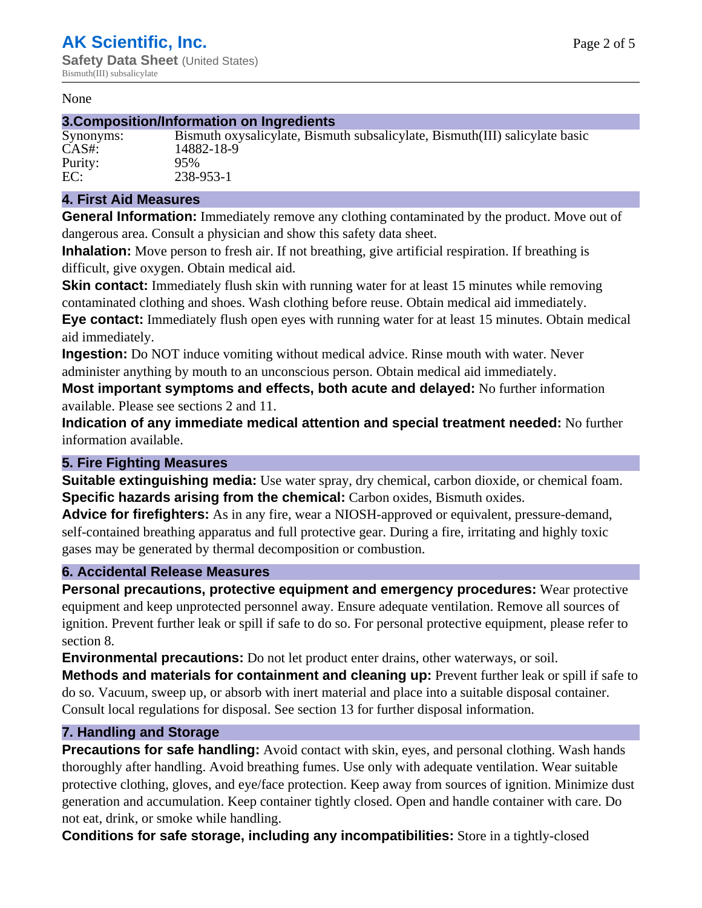#### None

#### **3.Composition/Information on Ingredients**

| Synonyms |
|----------|
| CAS#:    |
| Purity:  |
| EC:      |

Bismuth oxysalicylate, Bismuth subsalicylate, Bismuth (III) salicylate basic 14882-18-9 95% EC: 238-953-1

#### **4. First Aid Measures**

**General Information:** Immediately remove any clothing contaminated by the product. Move out of dangerous area. Consult a physician and show this safety data sheet.

**Inhalation:** Move person to fresh air. If not breathing, give artificial respiration. If breathing is difficult, give oxygen. Obtain medical aid.

**Skin contact:** Immediately flush skin with running water for at least 15 minutes while removing contaminated clothing and shoes. Wash clothing before reuse. Obtain medical aid immediately. **Eye contact:** Immediately flush open eyes with running water for at least 15 minutes. Obtain medical aid immediately.

**Ingestion:** Do NOT induce vomiting without medical advice. Rinse mouth with water. Never administer anything by mouth to an unconscious person. Obtain medical aid immediately.

**Most important symptoms and effects, both acute and delayed:** No further information available. Please see sections 2 and 11.

**Indication of any immediate medical attention and special treatment needed:** No further information available.

#### **5. Fire Fighting Measures**

**Suitable extinguishing media:** Use water spray, dry chemical, carbon dioxide, or chemical foam. **Specific hazards arising from the chemical:** Carbon oxides, Bismuth oxides.

**Advice for firefighters:** As in any fire, wear a NIOSH-approved or equivalent, pressure-demand, self-contained breathing apparatus and full protective gear. During a fire, irritating and highly toxic gases may be generated by thermal decomposition or combustion.

#### **6. Accidental Release Measures**

**Personal precautions, protective equipment and emergency procedures:** Wear protective equipment and keep unprotected personnel away. Ensure adequate ventilation. Remove all sources of ignition. Prevent further leak or spill if safe to do so. For personal protective equipment, please refer to section 8.

**Environmental precautions:** Do not let product enter drains, other waterways, or soil.

**Methods and materials for containment and cleaning up:** Prevent further leak or spill if safe to do so. Vacuum, sweep up, or absorb with inert material and place into a suitable disposal container. Consult local regulations for disposal. See section 13 for further disposal information.

#### **7. Handling and Storage**

**Precautions for safe handling:** Avoid contact with skin, eyes, and personal clothing. Wash hands thoroughly after handling. Avoid breathing fumes. Use only with adequate ventilation. Wear suitable protective clothing, gloves, and eye/face protection. Keep away from sources of ignition. Minimize dust generation and accumulation. Keep container tightly closed. Open and handle container with care. Do not eat, drink, or smoke while handling.

**Conditions for safe storage, including any incompatibilities:** Store in a tightly-closed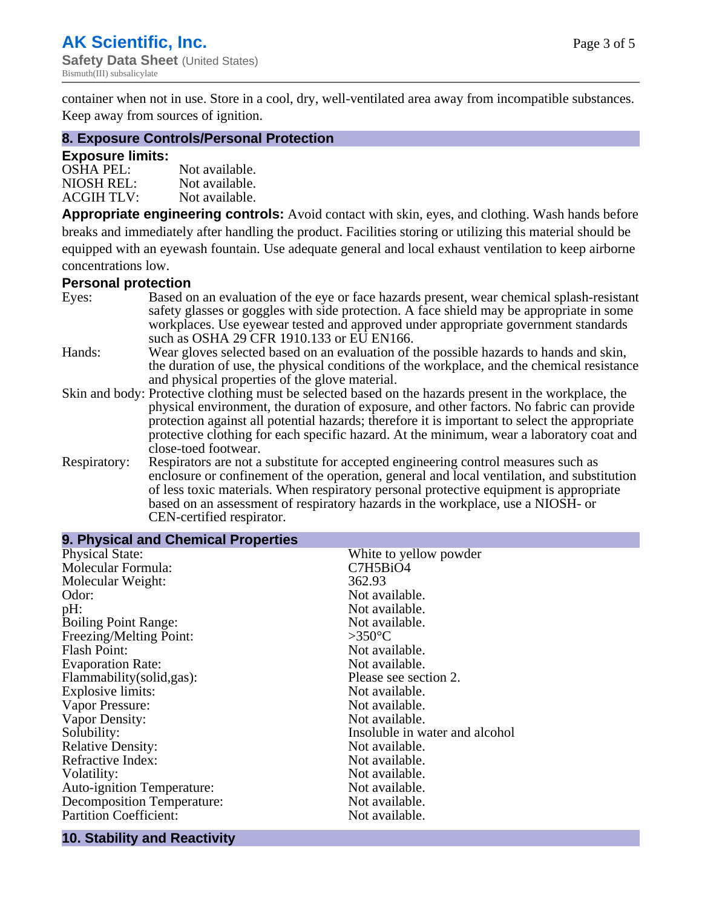container when not in use. Store in a cool, dry, well-ventilated area away from incompatible substances. Keep away from sources of ignition.

#### **8. Exposure Controls/Personal Protection**

#### **Exposure limits:**

| <b>OSHA PEL:</b>  | Not available. |
|-------------------|----------------|
| NIOSH REL:        | Not available. |
| <b>ACGIH TLV:</b> | Not available. |

**Appropriate engineering controls:** Avoid contact with skin, eyes, and clothing. Wash hands before breaks and immediately after handling the product. Facilities storing or utilizing this material should be equipped with an eyewash fountain. Use adequate general and local exhaust ventilation to keep airborne concentrations low.

#### **Personal protection**

| Eyes:        | Based on an evaluation of the eye or face hazards present, wear chemical splash-resistant<br>safety glasses or goggles with side protection. A face shield may be appropriate in some |  |  |
|--------------|---------------------------------------------------------------------------------------------------------------------------------------------------------------------------------------|--|--|
|              | workplaces. Use eyewear tested and approved under appropriate government standards<br>such as OSHA 29 CFR 1910.133 or EU EN166.                                                       |  |  |
| Hands:       | Wear gloves selected based on an evaluation of the possible hazards to hands and skin,                                                                                                |  |  |
|              | the duration of use, the physical conditions of the workplace, and the chemical resistance                                                                                            |  |  |
|              | and physical properties of the glove material.                                                                                                                                        |  |  |
|              | Skin and body: Protective clothing must be selected based on the hazards present in the workplace, the                                                                                |  |  |
|              | physical environment, the duration of exposure, and other factors. No fabric can provide                                                                                              |  |  |
|              | protection against all potential hazards; therefore it is important to select the appropriate                                                                                         |  |  |
|              | protective clothing for each specific hazard. At the minimum, wear a laboratory coat and                                                                                              |  |  |
|              | close-toed footwear.                                                                                                                                                                  |  |  |
| Respiratory: | Respirators are not a substitute for accepted engineering control measures such as<br>enclosure or confinement of the operation, general and local ventilation, and substitution      |  |  |
|              | of less toxic materials. When respiratory personal protective equipment is appropriate                                                                                                |  |  |
|              |                                                                                                                                                                                       |  |  |
|              | based on an assessment of respiratory hazards in the workplace, use a NIOSH- or                                                                                                       |  |  |
|              | CEN-certified respirator.                                                                                                                                                             |  |  |

| 9. Physical and Chemical Properties |                                |
|-------------------------------------|--------------------------------|
| <b>Physical State:</b>              | White to yellow powder         |
| Molecular Formula:                  | C7H5BiO4                       |
| Molecular Weight:                   | 362.93                         |
| Odor:                               | Not available.                 |
| pH:                                 | Not available.                 |
| <b>Boiling Point Range:</b>         | Not available.                 |
| Freezing/Melting Point:             | $>350^{\circ}$ C               |
| <b>Flash Point:</b>                 | Not available.                 |
| <b>Evaporation Rate:</b>            | Not available.                 |
| Flammability(solid,gas):            | Please see section 2.          |
| <b>Explosive limits:</b>            | Not available.                 |
| Vapor Pressure:                     | Not available.                 |
| Vapor Density:                      | Not available.                 |
| Solubility:                         | Insoluble in water and alcohol |
| <b>Relative Density:</b>            | Not available.                 |
| Refractive Index:                   | Not available.                 |
| Volatility:                         | Not available.                 |
| <b>Auto-ignition Temperature:</b>   | Not available.                 |
| <b>Decomposition Temperature:</b>   | Not available.                 |
| <b>Partition Coefficient:</b>       | Not available.                 |

# **10. Stability and Reactivity**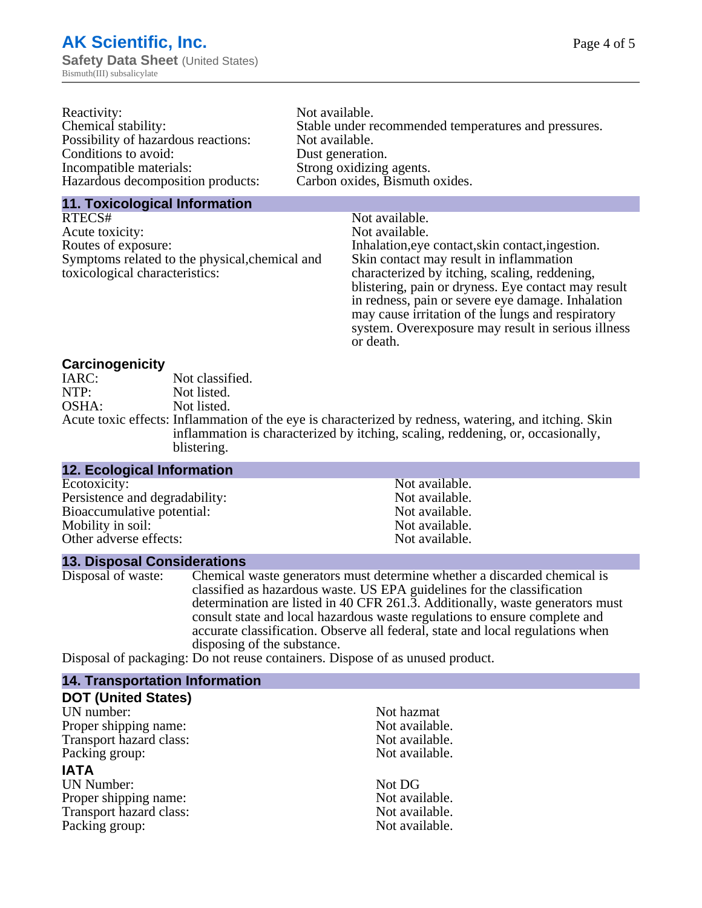| Reactivity:                         | Not available.                                       |
|-------------------------------------|------------------------------------------------------|
| Chemical stability:                 | Stable under recommended temperatures and pressures. |
| Possibility of hazardous reactions: | Not available.                                       |
| Conditions to avoid:                | Dust generation.                                     |
| Incompatible materials:             | Strong oxidizing agents.                             |
| Hazardous decomposition products:   | Carbon oxides, Bismuth oxides.                       |
|                                     |                                                      |

#### **11. Toxicological Information**

| RTECS#                                         | Not available.                                      |
|------------------------------------------------|-----------------------------------------------------|
| Acute toxicity:                                | Not available.                                      |
| Routes of exposure:                            | Inhalation, eye contact, skin contact, ingestion.   |
| Symptoms related to the physical, chemical and | Skin contact may result in inflammation             |
| toxicological characteristics:                 | characterized by itching, scaling, reddening,       |
|                                                | blistering, pain or dryness. Eye contact may result |
|                                                | in redness, pain or severe eye damage. Inhalation   |
|                                                | may cause irritation of the lungs and respiratory   |
|                                                | system. Overexposure may result in serious illness  |

or death.

#### **Carcinogenicity**

| IARC: | Not classified.                                                                                       |
|-------|-------------------------------------------------------------------------------------------------------|
| NTP:  | Not listed.                                                                                           |
| OSHA: | Not listed.                                                                                           |
|       | Acute toxic effects: Inflammation of the eye is characterized by redness, watering, and itching. Skin |
|       | inflammation is characterized by itching, scaling, reddening, or, occasionally,                       |
|       | blistering.                                                                                           |

| <b>12. Ecological Information</b> |                |  |
|-----------------------------------|----------------|--|
| Ecotoxicity:                      | Not available. |  |
| Persistence and degradability:    | Not available. |  |
| Bioaccumulative potential:        | Not available. |  |
| Mobility in soil:                 | Not available. |  |
| Other adverse effects:            | Not available. |  |

#### **13. Disposal Considerations**

Disposal of waste: Chemical waste generators must determine whether a discarded chemical is classified as hazardous waste. US EPA guidelines for the classification determination are listed in 40 CFR 261.3. Additionally, waste generators must consult state and local hazardous waste regulations to ensure complete and accurate classification. Observe all federal, state and local regulations when disposing of the substance.

Disposal of packaging: Do not reuse containers. Dispose of as unused product.

| <b>14. Transportation Information</b> |                |
|---------------------------------------|----------------|
| <b>DOT (United States)</b>            |                |
| UN number:                            | Not hazmat     |
| Proper shipping name:                 | Not available. |
| Transport hazard class:               | Not available. |
| Packing group:                        | Not available. |
| <b>IATA</b>                           |                |
| <b>UN Number:</b>                     | Not DG         |
| Proper shipping name:                 | Not available. |
| Transport hazard class:               | Not available. |
| Packing group:                        | Not available. |